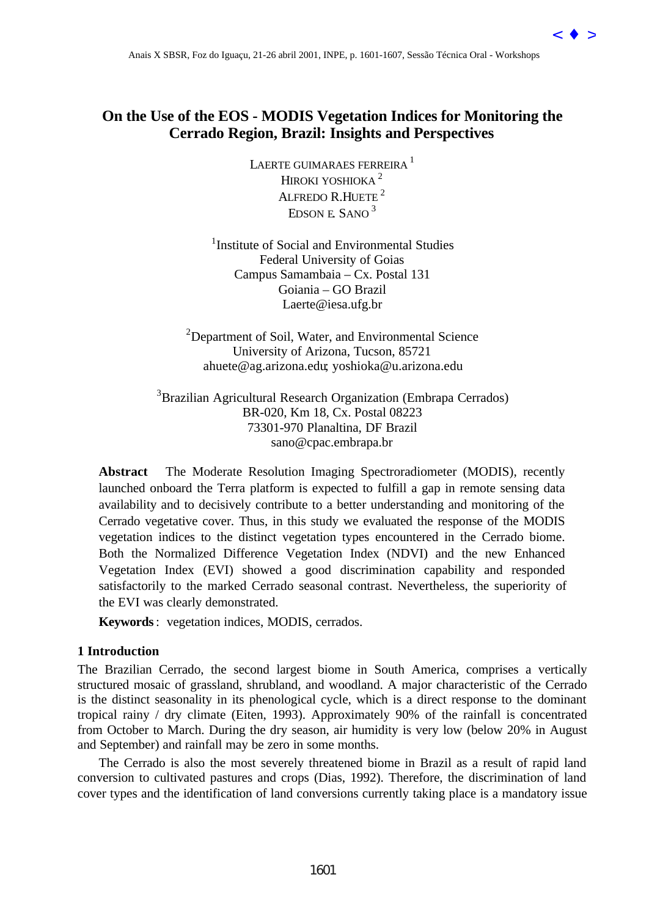# **On the Use of the EOS - MODIS Vegetation Indices for Monitoring the Cerrado Region, Brazil: Insights and Perspectives**

LAERTE GUIMARAES FERREIRA<sup>1</sup> HIROKI YOSHIOKA<sup>2</sup> ALFREDO R.HUETE<sup>2</sup> EDSON E. SANO 3

<sup>1</sup>Institute of Social and Environmental Studies Federal University of Goias Campus Samambaia – Cx. Postal 131 Goiania – GO Brazil Laerte@iesa.ufg.br

<sup>2</sup>Department of Soil, Water, and Environmental Science University of Arizona, Tucson, 85721 ahuete@ag.arizona.edu; yoshioka@u.arizona.edu

<sup>3</sup> Brazilian Agricultural Research Organization (Embrapa Cerrados) BR-020, Km 18, Cx. Postal 08223 73301-970 Planaltina, DF Brazil sano@cpac.embrapa.br

**Abstract** The Moderate Resolution Imaging Spectroradiometer (MODIS), recently launched onboard the Terra platform is expected to fulfill a gap in remote sensing data availability and to decisively contribute to a better understanding and monitoring of the Cerrado vegetative cover. Thus, in this study we evaluated the response of the MODIS vegetation indices to the distinct vegetation types encountered in the Cerrado biome. Both the Normalized Difference Vegetation Index (NDVI) and the new Enhanced Vegetation Index (EVI) showed a good discrimination capability and responded satisfactorily to the marked Cerrado seasonal contrast. Nevertheless, the superiority of the EVI was clearly demonstrated. 4-mix X 8080, For do Iguaçu, 21-26 abril 2001, 1809-2, 160-1612, Sessão Técnica Oral - Workshop Control in the Cerrado Region, Brazil : Insightis and Perspectives<br[>](goto-/dpi.inpe.br/lise/2001/09.24.09.17)Lower and Anarchives are Free abril 2001, Insightis and

**Keywords**: vegetation indices, MODIS, cerrados.

# **1 Introduction**

The Brazilian Cerrado, the second largest biome in South America, comprises a vertically structured mosaic of grassland, shrubland, and woodland. A major characteristic of the Cerrado is the distinct seasonality in its phenological cycle, which is a direct response to the dominant tropical rainy / dry climate (Eiten, 1993). Approximately 90% of the rainfall is concentrated from October to March. During the dry season, air humidity is very low (below 20% in August and September) and rainfall may be zero in some months.

The Cerrado is also the most severely threatened biome in Brazil as a result of rapid land conversion to cultivated pastures and crops (Dias, 1992). Therefore, the discrimination of land cover types and the identification of land conversions currently taking place is a mandatory issue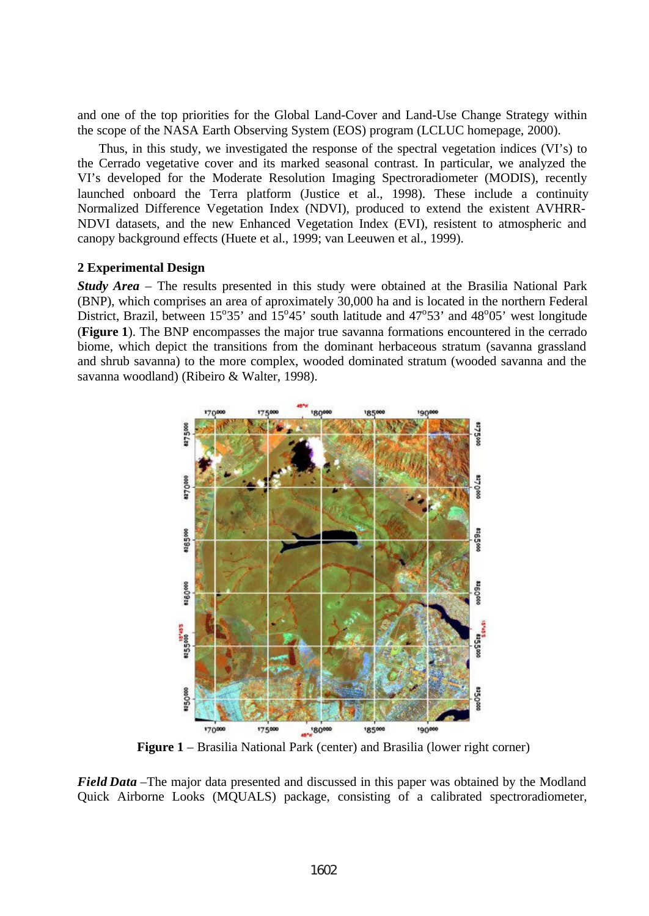and one of the top priorities for the Global Land-Cover and Land-Use Change Strategy within the scope of the NASA Earth Observing System (EOS) program (LCLUC homepage, 2000).

Thus, in this study, we investigated the response of the spectral vegetation indices (VI's) to the Cerrado vegetative cover and its marked seasonal contrast. In particular, we analyzed the VI's developed for the Moderate Resolution Imaging Spectroradiometer (MODIS), recently launched onboard the Terra platform (Justice et al., 1998). These include a continuity Normalized Difference Vegetation Index (NDVI), produced to extend the existent AVHRR-NDVI datasets, and the new Enhanced Vegetation Index (EVI), resistent to atmospheric and canopy background effects (Huete et al., 1999; van Leeuwen et al., 1999).

## **2 Experimental Design**

*Study Area* – The results presented in this study were obtained at the Brasilia National Park (BNP), which comprises an area of aproximately 30,000 ha and is located in the northern Federal District, Brazil, between  $15^{\circ}35'$  and  $15^{\circ}45'$  south latitude and  $47^{\circ}53'$  and  $48^{\circ}05'$  west longitude (**Figure 1**). The BNP encompasses the major true savanna formations encountered in the cerrado biome, which depict the transitions from the dominant herbaceous stratum (savanna grassland and shrub savanna) to the more complex, wooded dominated stratum (wooded savanna and the savanna woodland) (Ribeiro & Walter, 1998).



**Figure 1** – Brasilia National Park (center) and Brasilia (lower right corner)

*Field Data* –The major data presented and discussed in this paper was obtained by the Modland Quick Airborne Looks (MQUALS) package, consisting of a calibrated spectroradiometer,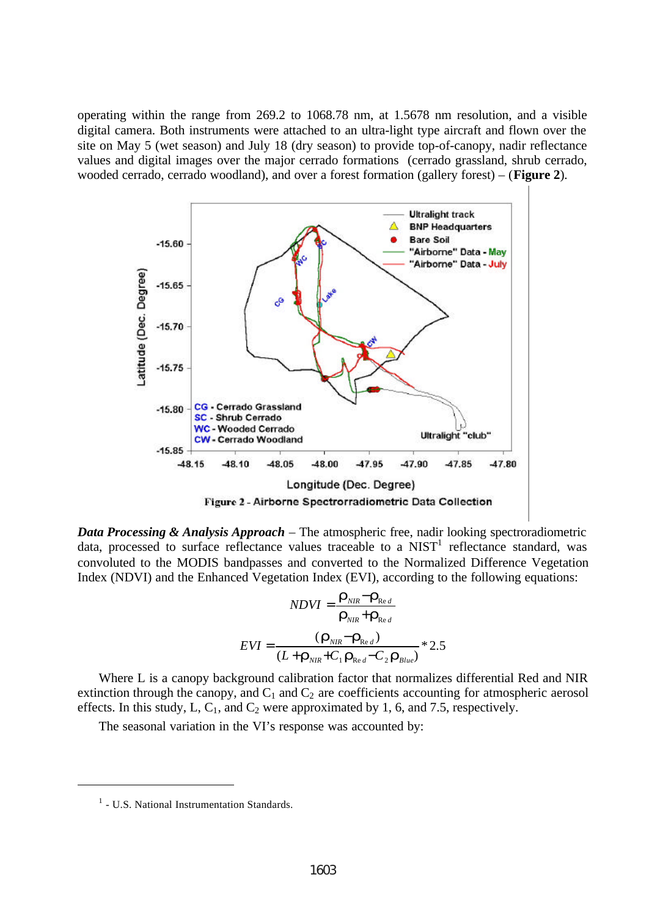operating within the range from 269.2 to 1068.78 nm, at 1.5678 nm resolution, and a visible digital camera. Both instruments were attached to an ultra-light type aircraft and flown over the site on May 5 (wet season) and July 18 (dry season) to provide top-of-canopy, nadir reflectance values and digital images over the major cerrado formations (cerrado grassland, shrub cerrado, wooded cerrado, cerrado woodland), and over a forest formation (gallery forest) – (**Figure 2**).



*Data Processing & Analysis Approach* – The atmospheric free, nadir looking spectroradiometric data, processed to surface reflectance values traceable to a  $NIST<sup>1</sup>$  reflectance standard, was convoluted to the MODIS bandpasses and converted to the Normalized Difference Vegetation Index (NDVI) and the Enhanced Vegetation Index (EVI), according to the following equations:

$$
NDVI = \frac{\mathbf{r}_{NIR} - \mathbf{r}_{Red}}{\mathbf{r}_{NIR} + \mathbf{r}_{Red}}
$$

$$
EVI = \frac{(\mathbf{r}_{NIR} - \mathbf{r}_{Red})}{(L + \mathbf{r}_{NIR} + C_1 \mathbf{r}_{Red} - C_2 \mathbf{r}_{Blue})} * 2.5
$$

Where L is a canopy background calibration factor that normalizes differential Red and NIR extinction through the canopy, and  $C_1$  and  $C_2$  are coefficients accounting for atmospheric aerosol effects. In this study, L,  $C_1$ , and  $C_2$  were approximated by 1, 6, and 7.5, respectively.

The seasonal variation in the VI's response was accounted by:

l

<sup>&</sup>lt;sup>1</sup> - U.S. National Instrumentation Standards.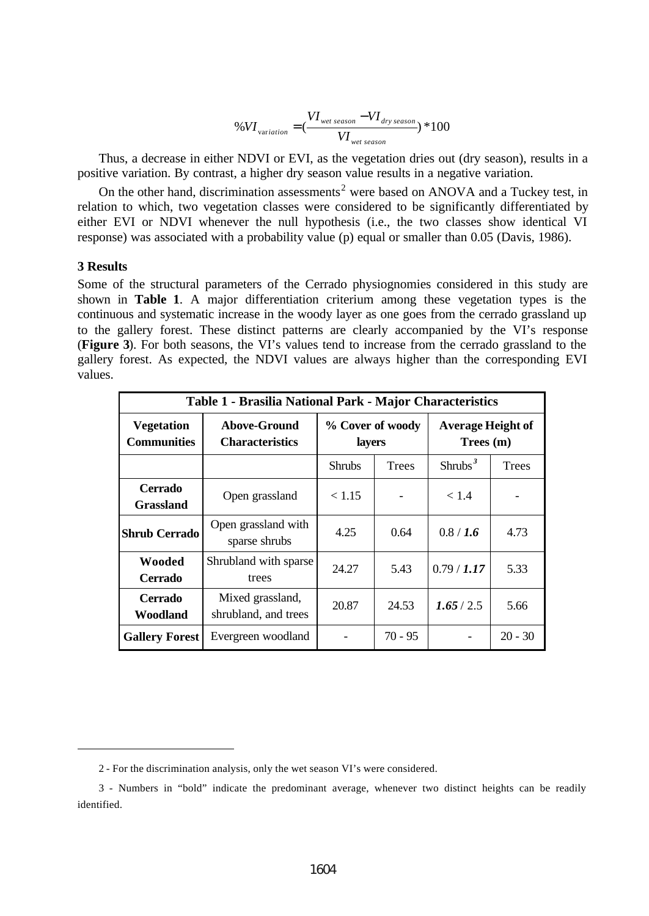$$
\%VI_{variation} = (\frac{VI_{wet season} - VI_{dry season}}{VI_{wet season}}) * 100
$$

Thus, a decrease in either NDVI or EVI, as the vegetation dries out (dry season), results in a positive variation. By contrast, a higher dry season value results in a negative variation.

On the other hand, discrimination assessments<sup>2</sup> were based on ANOVA and a Tuckey test, in relation to which, two vegetation classes were considered to be significantly differentiated by either EVI or NDVI whenever the null hypothesis (i.e., the two classes show identical VI response) was associated with a probability value (p) equal or smaller than 0.05 (Davis, 1986).

## **3 Results**

l

Some of the structural parameters of the Cerrado physiognomies considered in this study are shown in **Table 1**. A major differentiation criterium among these vegetation types is the continuous and systematic increase in the woody layer as one goes from the cerrado grassland up to the gallery forest. These distinct patterns are clearly accompanied by the VI's response (**Figure 3**). For both seasons, the VI's values tend to increase from the cerrado grassland to the gallery forest. As expected, the NDVI values are always higher than the corresponding EVI values.

| Table 1 - Brasilia National Park - Major Characteristics |                                               |                            |              |                                       |              |
|----------------------------------------------------------|-----------------------------------------------|----------------------------|--------------|---------------------------------------|--------------|
| <b>Vegetation</b><br><b>Communities</b>                  | <b>Above-Ground</b><br><b>Characteristics</b> | % Cover of woody<br>layers |              | <b>Average Height of</b><br>Trees (m) |              |
|                                                          |                                               | <b>Shrubs</b>              | <b>Trees</b> | Shrubs <sup>3</sup>                   | <b>Trees</b> |
| <b>Cerrado</b><br><b>Grassland</b>                       | Open grassland                                | < 1.15                     |              | < 1.4                                 |              |
| <b>Shrub Cerrado</b>                                     | Open grassland with<br>sparse shrubs          | 4.25                       | 0.64         | 0.8 / 1.6                             | 4.73         |
| Wooded<br><b>Cerrado</b>                                 | Shrubland with sparse<br>trees                | 24.27                      | 5.43         | 0.79 / 1.17                           | 5.33         |
| <b>Cerrado</b><br>Woodland                               | Mixed grassland,<br>shrubland, and trees      | 20.87                      | 24.53        | 1.65/2.5                              | 5.66         |
| <b>Gallery Forest</b>                                    | Evergreen woodland                            |                            | $70 - 95$    |                                       | $20 - 30$    |

<sup>2 -</sup> For the discrimination analysis, only the wet season VI's were considered.

<sup>3 -</sup> Numbers in "bold" indicate the predominant average, whenever two distinct heights can be readily identified.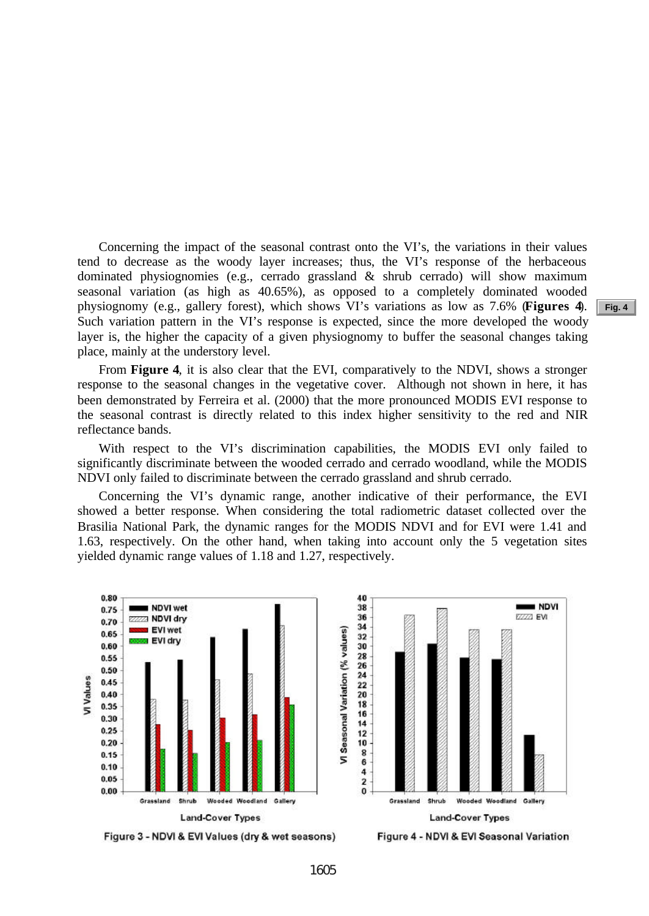Concerning the impact of the seasonal contrast onto the VI's, the variations in their values tend to decrease as the woody layer increases; thus, the VI's response of the herbaceous dominated physiognomies (e.g., cerrado grassland & shrub cerrado) will show maximum seasonal variation (as high as 40.65%), as opposed to a completely dominated wooded physiognomy (e.g., gallery forest), which shows VI's variations as low as 7.6% (**Figures 4**). Such variation pattern in the VI's response is expected, since the more developed the woody layer is, the higher the capacity of a given physiognomy to buffer the seasonal changes taking place, mainly at the understory level.

From **Figure 4**, it is also clear that the EVI, comparatively to the NDVI, shows a stronger response to the seasonal changes in the vegetative cover. Although not shown in here, it has been demonstrated by Ferreira et al. (2000) that the more pronounced MODIS EVI response to the seasonal contrast is directly related to this index higher sensitivity to the red and NIR reflectance bands.

With respect to the VI's discrimination capabilities, the MODIS EVI only failed to significantly discriminate between the wooded cerrado and cerrado woodland, while the MODIS NDVI only failed to discriminate between the cerrado grassland and shrub cerrado.

Concerning the VI's dynamic range, another indicative of their performance, the EVI showed a better response. When considering the total radiometric dataset collected over the Brasilia National Park, the dynamic ranges for the MODIS NDVI and for EVI were 1.41 and 1.63, respectively. On the other hand, when taking into account only the 5 vegetation sites yielded dynamic range values of 1.18 and 1.27, respectively.



**Fig. 4**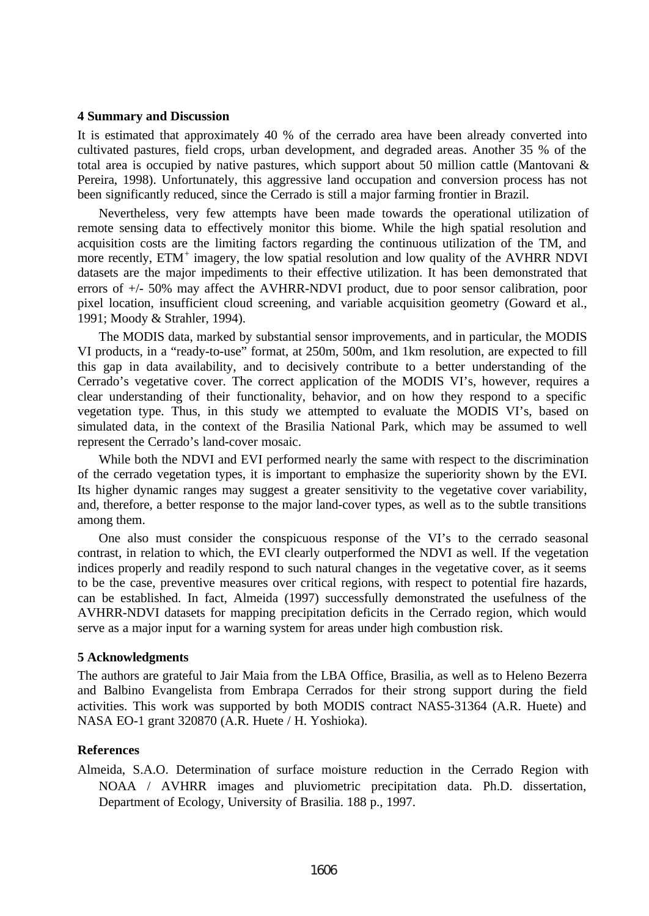## **4 Summary and Discussion**

It is estimated that approximately 40 % of the cerrado area have been already converted into cultivated pastures, field crops, urban development, and degraded areas. Another 35 % of the total area is occupied by native pastures, which support about 50 million cattle (Mantovani  $\&$ Pereira, 1998). Unfortunately, this aggressive land occupation and conversion process has not been significantly reduced, since the Cerrado is still a major farming frontier in Brazil.

Nevertheless, very few attempts have been made towards the operational utilization of remote sensing data to effectively monitor this biome. While the high spatial resolution and acquisition costs are the limiting factors regarding the continuous utilization of the TM, and more recently, ETM<sup>+</sup> imagery, the low spatial resolution and low quality of the AVHRR NDVI datasets are the major impediments to their effective utilization. It has been demonstrated that errors of +/- 50% may affect the AVHRR-NDVI product, due to poor sensor calibration, poor pixel location, insufficient cloud screening, and variable acquisition geometry (Goward et al., 1991; Moody & Strahler, 1994).

The MODIS data, marked by substantial sensor improvements, and in particular, the MODIS VI products, in a "ready-to-use" format, at 250m, 500m, and 1km resolution, are expected to fill this gap in data availability, and to decisively contribute to a better understanding of the Cerrado's vegetative cover. The correct application of the MODIS VI's, however, requires a clear understanding of their functionality, behavior, and on how they respond to a specific vegetation type. Thus, in this study we attempted to evaluate the MODIS VI's, based on simulated data, in the context of the Brasilia National Park, which may be assumed to well represent the Cerrado's land-cover mosaic.

While both the NDVI and EVI performed nearly the same with respect to the discrimination of the cerrado vegetation types, it is important to emphasize the superiority shown by the EVI. Its higher dynamic ranges may suggest a greater sensitivity to the vegetative cover variability, and, therefore, a better response to the major land-cover types, as well as to the subtle transitions among them.

One also must consider the conspicuous response of the VI's to the cerrado seasonal contrast, in relation to which, the EVI clearly outperformed the NDVI as well. If the vegetation indices properly and readily respond to such natural changes in the vegetative cover, as it seems to be the case, preventive measures over critical regions, with respect to potential fire hazards, can be established. In fact, Almeida (1997) successfully demonstrated the usefulness of the AVHRR-NDVI datasets for mapping precipitation deficits in the Cerrado region, which would serve as a major input for a warning system for areas under high combustion risk.

### **5 Acknowledgments**

The authors are grateful to Jair Maia from the LBA Office, Brasilia, as well as to Heleno Bezerra and Balbino Evangelista from Embrapa Cerrados for their strong support during the field activities. This work was supported by both MODIS contract NAS5-31364 (A.R. Huete) and NASA EO-1 grant 320870 (A.R. Huete / H. Yoshioka).

### **References**

Almeida, S.A.O. Determination of surface moisture reduction in the Cerrado Region with NOAA / AVHRR images and pluviometric precipitation data. Ph.D. dissertation, Department of Ecology, University of Brasilia. 188 p., 1997.